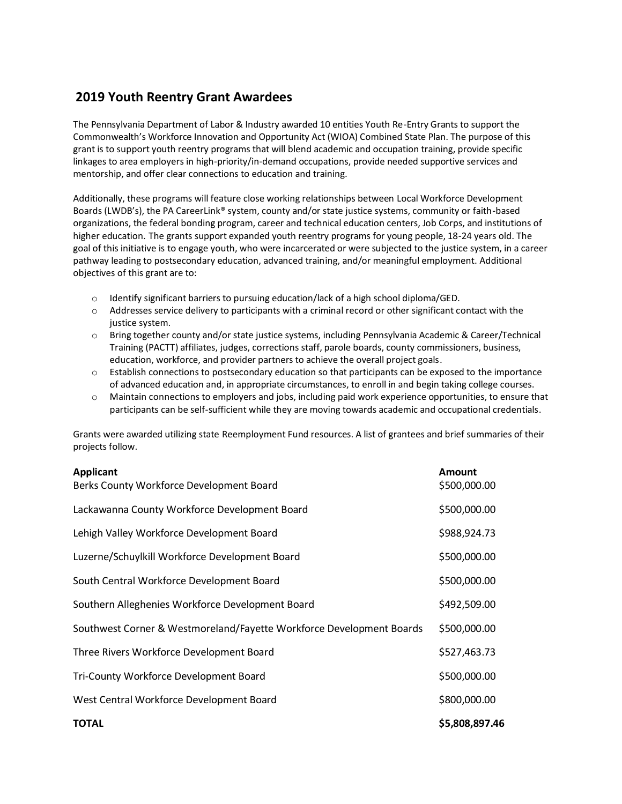## **2019 Youth Reentry Grant Awardees**

The Pennsylvania Department of Labor & Industry awarded 10 entities Youth Re-Entry Grants to support the Commonwealth's Workforce Innovation and Opportunity Act (WIOA) Combined State Plan. The purpose of this grant is to support youth reentry programs that will blend academic and occupation training, provide specific linkages to area employers in high-priority/in-demand occupations, provide needed supportive services and mentorship, and offer clear connections to education and training.

Additionally, these programs will feature close working relationships between Local Workforce Development Boards (LWDB's), the PA CareerLink® system, county and/or state justice systems, community or faith-based organizations, the federal bonding program, career and technical education centers, Job Corps, and institutions of higher education. The grants support expanded youth reentry programs for young people, 18-24 years old. The goal of this initiative is to engage youth, who were incarcerated or were subjected to the justice system, in a career pathway leading to postsecondary education, advanced training, and/or meaningful employment. Additional objectives of this grant are to:

- o Identify significant barriers to pursuing education/lack of a high school diploma/GED.
- $\circ$  Addresses service delivery to participants with a criminal record or other significant contact with the justice system.
- o Bring together county and/or state justice systems, including Pennsylvania Academic & Career/Technical Training (PACTT) affiliates, judges, corrections staff, parole boards, county commissioners, business, education, workforce, and provider partners to achieve the overall project goals.
- $\circ$  Establish connections to postsecondary education so that participants can be exposed to the importance of advanced education and, in appropriate circumstances, to enroll in and begin taking college courses.
- $\circ$  Maintain connections to employers and jobs, including paid work experience opportunities, to ensure that participants can be self-sufficient while they are moving towards academic and occupational credentials.

Grants were awarded utilizing state Reemployment Fund resources. A list of grantees and brief summaries of their projects follow.

| <b>Applicant</b><br>Berks County Workforce Development Board         | <b>Amount</b><br>\$500,000.00 |
|----------------------------------------------------------------------|-------------------------------|
| Lackawanna County Workforce Development Board                        | \$500,000.00                  |
| Lehigh Valley Workforce Development Board                            | \$988,924.73                  |
| Luzerne/Schuylkill Workforce Development Board                       | \$500,000.00                  |
| South Central Workforce Development Board                            | \$500,000.00                  |
| Southern Alleghenies Workforce Development Board                     | \$492,509.00                  |
| Southwest Corner & Westmoreland/Fayette Workforce Development Boards | \$500,000.00                  |
| Three Rivers Workforce Development Board                             | \$527,463.73                  |
| Tri-County Workforce Development Board                               | \$500,000.00                  |
| West Central Workforce Development Board                             | \$800,000.00                  |
| <b>TOTAL</b>                                                         | \$5,808,897.46                |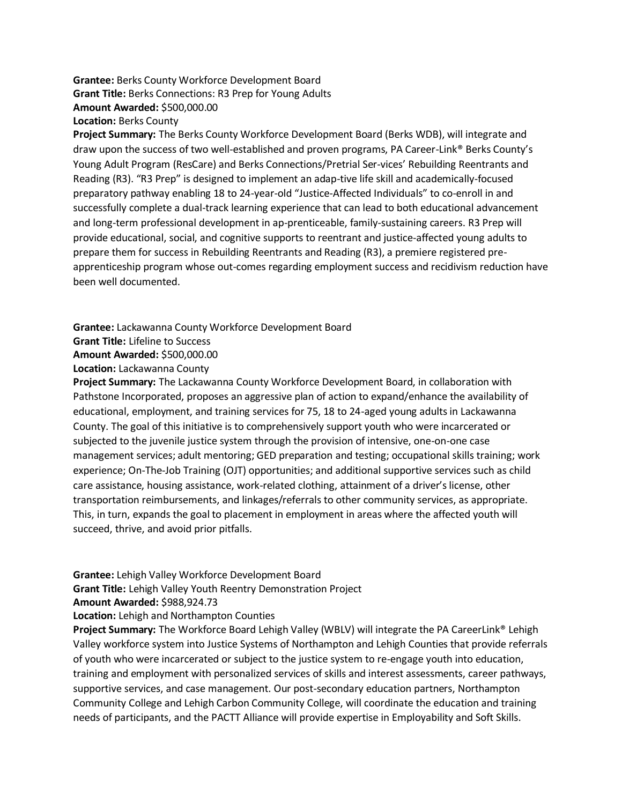## **Grantee:** Berks County Workforce Development Board **Grant Title:** Berks Connections: R3 Prep for Young Adults **Amount Awarded:** \$500,000.00 **Location:** Berks County

**Project Summary:** The Berks County Workforce Development Board (Berks WDB), will integrate and draw upon the success of two well-established and proven programs, PA Career-Link® Berks County's Young Adult Program (ResCare) and Berks Connections/Pretrial Ser-vices' Rebuilding Reentrants and Reading (R3). "R3 Prep" is designed to implement an adap-tive life skill and academically-focused preparatory pathway enabling 18 to 24-year-old "Justice-Affected Individuals" to co-enroll in and successfully complete a dual-track learning experience that can lead to both educational advancement and long-term professional development in ap-prenticeable, family-sustaining careers. R3 Prep will provide educational, social, and cognitive supports to reentrant and justice-affected young adults to prepare them for success in Rebuilding Reentrants and Reading (R3), a premiere registered preapprenticeship program whose out-comes regarding employment success and recidivism reduction have been well documented.

**Grantee:** Lackawanna County Workforce Development Board

```
Grant Title: Lifeline to Success
```
**Amount Awarded:** \$500,000.00

**Location:** Lackawanna County

**Project Summary:** The Lackawanna County Workforce Development Board, in collaboration with Pathstone Incorporated, proposes an aggressive plan of action to expand/enhance the availability of educational, employment, and training services for 75, 18 to 24-aged young adults in Lackawanna County. The goal of this initiative is to comprehensively support youth who were incarcerated or subjected to the juvenile justice system through the provision of intensive, one-on-one case management services; adult mentoring; GED preparation and testing; occupational skills training; work experience; On-The-Job Training (OJT) opportunities; and additional supportive services such as child care assistance, housing assistance, work-related clothing, attainment of a driver's license, other transportation reimbursements, and linkages/referrals to other community services, as appropriate. This, in turn, expands the goal to placement in employment in areas where the affected youth will succeed, thrive, and avoid prior pitfalls.

## **Grantee:** Lehigh Valley Workforce Development Board **Grant Title:** Lehigh Valley Youth Reentry Demonstration Project **Amount Awarded:** \$988,924.73

## **Location:** Lehigh and Northampton Counties

**Project Summary:** The Workforce Board Lehigh Valley (WBLV) will integrate the PA CareerLink® Lehigh Valley workforce system into Justice Systems of Northampton and Lehigh Counties that provide referrals of youth who were incarcerated or subject to the justice system to re-engage youth into education, training and employment with personalized services of skills and interest assessments, career pathways, supportive services, and case management. Our post-secondary education partners, Northampton Community College and Lehigh Carbon Community College, will coordinate the education and training needs of participants, and the PACTT Alliance will provide expertise in Employability and Soft Skills.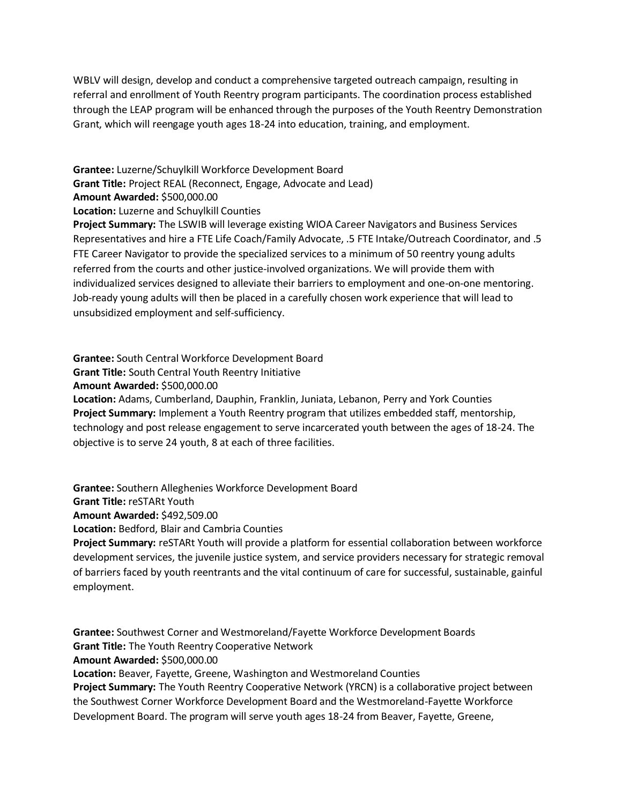WBLV will design, develop and conduct a comprehensive targeted outreach campaign, resulting in referral and enrollment of Youth Reentry program participants. The coordination process established through the LEAP program will be enhanced through the purposes of the Youth Reentry Demonstration Grant, which will reengage youth ages 18-24 into education, training, and employment.

**Grantee:** Luzerne/Schuylkill Workforce Development Board **Grant Title:** Project REAL (Reconnect, Engage, Advocate and Lead) **Amount Awarded:** \$500,000.00 **Location:** Luzerne and Schuylkill Counties **Project Summary:** The LSWIB will leverage existing WIOA Career Navigators and Business Services Representatives and hire a FTE Life Coach/Family Advocate, .5 FTE Intake/Outreach Coordinator, and .5 FTE Career Navigator to provide the specialized services to a minimum of 50 reentry young adults referred from the courts and other justice-involved organizations. We will provide them with individualized services designed to alleviate their barriers to employment and one-on-one mentoring. Job-ready young adults will then be placed in a carefully chosen work experience that will lead to unsubsidized employment and self-sufficiency.

**Grantee:** South Central Workforce Development Board

**Grant Title:** South Central Youth Reentry Initiative

**Amount Awarded:** \$500,000.00

**Location:** Adams, Cumberland, Dauphin, Franklin, Juniata, Lebanon, Perry and York Counties **Project Summary:** Implement a Youth Reentry program that utilizes embedded staff, mentorship, technology and post release engagement to serve incarcerated youth between the ages of 18-24. The objective is to serve 24 youth, 8 at each of three facilities.

**Grantee:** Southern Alleghenies Workforce Development Board

**Grant Title:** reSTARt Youth

**Amount Awarded:** \$492,509.00

**Location:** Bedford, Blair and Cambria Counties

**Project Summary:** reSTARt Youth will provide a platform for essential collaboration between workforce development services, the juvenile justice system, and service providers necessary for strategic removal of barriers faced by youth reentrants and the vital continuum of care for successful, sustainable, gainful employment.

**Grantee:** Southwest Corner and Westmoreland/Fayette Workforce Development Boards **Grant Title:** The Youth Reentry Cooperative Network **Amount Awarded:** \$500,000.00 **Location:** Beaver, Fayette, Greene, Washington and Westmoreland Counties

**Project Summary:** The Youth Reentry Cooperative Network (YRCN) is a collaborative project between the Southwest Corner Workforce Development Board and the Westmoreland-Fayette Workforce Development Board. The program will serve youth ages 18-24 from Beaver, Fayette, Greene,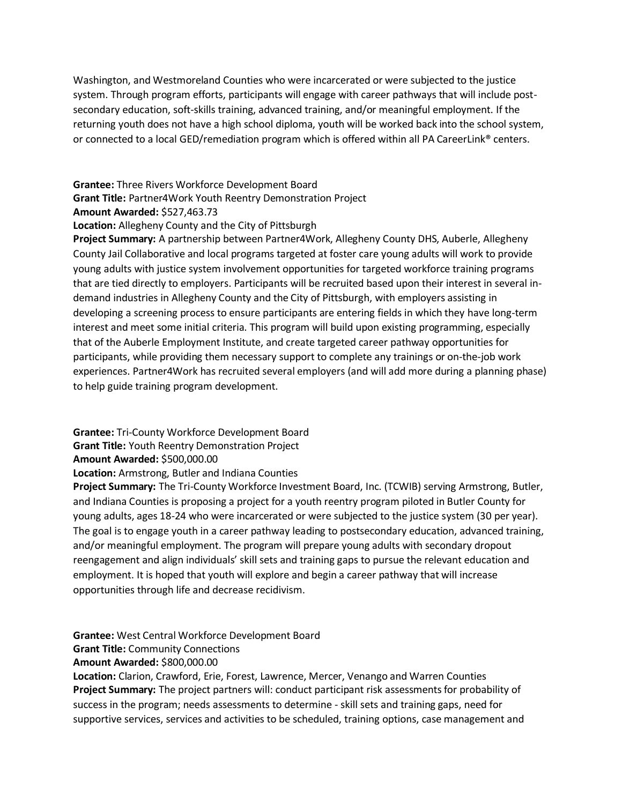Washington, and Westmoreland Counties who were incarcerated or were subjected to the justice system. Through program efforts, participants will engage with career pathways that will include postsecondary education, soft-skills training, advanced training, and/or meaningful employment. If the returning youth does not have a high school diploma, youth will be worked back into the school system, or connected to a local GED/remediation program which is offered within all PA CareerLink® centers.

**Grantee:** Three Rivers Workforce Development Board

**Grant Title:** Partner4Work Youth Reentry Demonstration Project

**Amount Awarded:** \$527,463.73

**Location:** Allegheny County and the City of Pittsburgh

**Project Summary:** A partnership between Partner4Work, Allegheny County DHS, Auberle, Allegheny County Jail Collaborative and local programs targeted at foster care young adults will work to provide young adults with justice system involvement opportunities for targeted workforce training programs that are tied directly to employers. Participants will be recruited based upon their interest in several indemand industries in Allegheny County and the City of Pittsburgh, with employers assisting in developing a screening process to ensure participants are entering fields in which they have long-term interest and meet some initial criteria. This program will build upon existing programming, especially that of the Auberle Employment Institute, and create targeted career pathway opportunities for participants, while providing them necessary support to complete any trainings or on-the-job work experiences. Partner4Work has recruited several employers (and will add more during a planning phase) to help guide training program development.

**Grantee:** Tri-County Workforce Development Board

**Grant Title:** Youth Reentry Demonstration Project

**Amount Awarded:** \$500,000.00

**Location:** Armstrong, Butler and Indiana Counties

**Project Summary:** The Tri-County Workforce Investment Board, Inc. (TCWIB) serving Armstrong, Butler, and Indiana Counties is proposing a project for a youth reentry program piloted in Butler County for young adults, ages 18-24 who were incarcerated or were subjected to the justice system (30 per year). The goal is to engage youth in a career pathway leading to postsecondary education, advanced training, and/or meaningful employment. The program will prepare young adults with secondary dropout reengagement and align individuals' skill sets and training gaps to pursue the relevant education and employment. It is hoped that youth will explore and begin a career pathway that will increase opportunities through life and decrease recidivism.

**Grantee:** West Central Workforce Development Board

**Grant Title:** Community Connections

**Amount Awarded:** \$800,000.00

**Location:** Clarion, Crawford, Erie, Forest, Lawrence, Mercer, Venango and Warren Counties **Project Summary:** The project partners will: conduct participant risk assessments for probability of success in the program; needs assessments to determine - skill sets and training gaps, need for supportive services, services and activities to be scheduled, training options, case management and